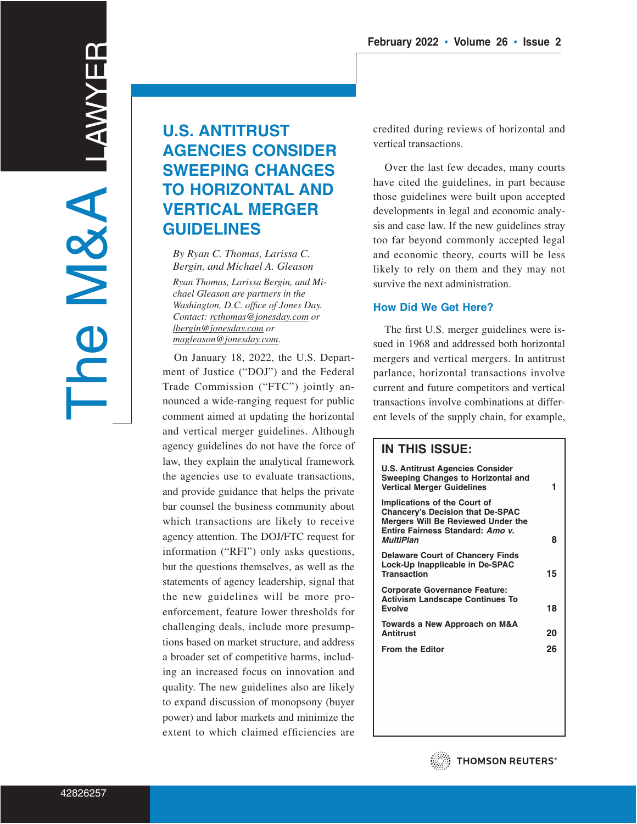# **U.S. ANTITRUST AGENCIES CONSIDER SWEEPING CHANGES TO HORIZONTAL AND VERTICAL MERGER GUIDELINES**

*By Ryan C. Thomas, Larissa C. Bergin, and Michael A. Gleason*

*Ryan Thomas, Larissa Bergin, and Michael Gleason are partners in the Washington, D.C. office of Jones Day. Contact: rcthomas@jonesday.com or lbergin@jonesday.com or magleason@jonesday.com*.

On January 18, 2022, the U.S. Department of Justice ("DOJ") and the Federal Trade Commission ("FTC") jointly announced a wide-ranging request for public comment aimed at updating the horizontal and vertical merger guidelines. Although agency guidelines do not have the force of law, they explain the analytical framework the agencies use to evaluate transactions, and provide guidance that helps the private bar counsel the business community about which transactions are likely to receive agency attention. The DOJ/FTC request for information ("RFI") only asks questions, but the questions themselves, as well as the statements of agency leadership, signal that the new guidelines will be more proenforcement, feature lower thresholds for challenging deals, include more presumptions based on market structure, and address a broader set of competitive harms, including an increased focus on innovation and quality. The new guidelines also are likely to expand discussion of monopsony (buyer power) and labor markets and minimize the extent to which claimed efficiencies are credited during reviews of horizontal and vertical transactions.

Over the last few decades, many courts have cited the guidelines, in part because those guidelines were built upon accepted developments in legal and economic analysis and case law. If the new guidelines stray too far beyond commonly accepted legal and economic theory, courts will be less likely to rely on them and they may not survive the next administration.

#### **How Did We Get Here?**

The first U.S. merger guidelines were issued in 1968 and addressed both horizontal mergers and vertical mergers. In antitrust parlance, horizontal transactions involve current and future competitors and vertical transactions involve combinations at different levels of the supply chain, for example,

# **IN THIS ISSUE:**

| U.S. Antitrust Agencies Consider<br>Sweeping Changes to Horizontal and<br><b>Vertical Merger Guidelines</b>                                                                         | 1  |
|-------------------------------------------------------------------------------------------------------------------------------------------------------------------------------------|----|
| <b>Implications of the Court of</b><br><b>Chancery's Decision that De-SPAC</b><br><b>Mergers Will Be Reviewed Under the</b><br>Entire Fairness Standard: Amo v.<br><b>MultiPlan</b> | 8  |
| <b>Delaware Court of Chancery Finds</b><br>Lock-Up Inapplicable in De-SPAC<br><b>Transaction</b>                                                                                    | 15 |
| <b>Corporate Governance Feature:</b><br><b>Activism Landscape Continues To</b><br>Evolve                                                                                            | 18 |
| Towards a New Approach on M&A<br><b>Antitrust</b>                                                                                                                                   | 20 |
| <b>From the Editor</b>                                                                                                                                                              | 26 |
|                                                                                                                                                                                     |    |
|                                                                                                                                                                                     |    |
|                                                                                                                                                                                     |    |

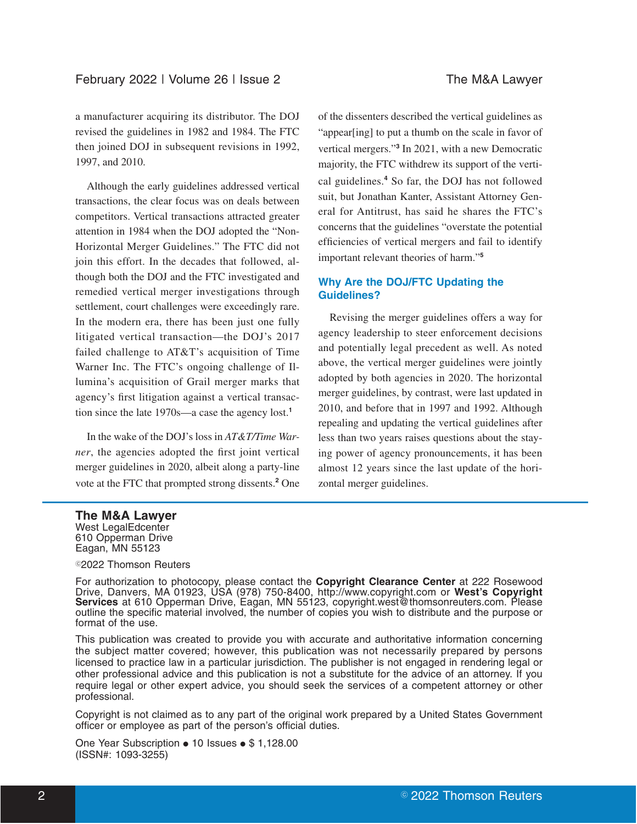a manufacturer acquiring its distributor. The DOJ revised the guidelines in 1982 and 1984. The FTC then joined DOJ in subsequent revisions in 1992, 1997, and 2010.

Although the early guidelines addressed vertical transactions, the clear focus was on deals between competitors. Vertical transactions attracted greater attention in 1984 when the DOJ adopted the "Non-Horizontal Merger Guidelines." The FTC did not join this effort. In the decades that followed, although both the DOJ and the FTC investigated and remedied vertical merger investigations through settlement, court challenges were exceedingly rare. In the modern era, there has been just one fully litigated vertical transaction—the DOJ's 2017 failed challenge to AT&T's acquisition of Time Warner Inc. The FTC's ongoing challenge of Illumina's acquisition of Grail merger marks that agency's first litigation against a vertical transaction since the late 1970s—a case the agency lost.**<sup>1</sup>**

In the wake of the DOJ's loss in *AT&T/Time Warner*, the agencies adopted the first joint vertical merger guidelines in 2020, albeit along a party-line vote at the FTC that prompted strong dissents.**<sup>2</sup>** One of the dissenters described the vertical guidelines as "appear[ing] to put a thumb on the scale in favor of vertical mergers."**<sup>3</sup>** In 2021, with a new Democratic majority, the FTC withdrew its support of the vertical guidelines.**<sup>4</sup>** So far, the DOJ has not followed suit, but Jonathan Kanter, Assistant Attorney General for Antitrust, has said he shares the FTC's concerns that the guidelines "overstate the potential efficiencies of vertical mergers and fail to identify important relevant theories of harm."**<sup>5</sup>**

# **Why Are the DOJ/FTC Updating the Guidelines?**

Revising the merger guidelines offers a way for agency leadership to steer enforcement decisions and potentially legal precedent as well. As noted above, the vertical merger guidelines were jointly adopted by both agencies in 2020. The horizontal merger guidelines, by contrast, were last updated in 2010, and before that in 1997 and 1992. Although repealing and updating the vertical guidelines after less than two years raises questions about the staying power of agency pronouncements, it has been almost 12 years since the last update of the horizontal merger guidelines.

#### **The M&A Lawyer**

West LegalEdcenter 610 Opperman Drive Eagan, MN 55123

#### <sup>©</sup>2022 Thomson Reuters

For authorization to photocopy, please contact the **Copyright Clearance Center** at 222 Rosewood Drive, Danvers, MA 01923, USA (978) 750-8400, http://www.copyright.com or **West's Copyright Services** at 610 Opperman Drive, Eagan, MN 55123, copyright.west@thomsonreuters.com. Please outline the specific material involved, the number of copies you wish to distribute and the purpose or format of the use.

This publication was created to provide you with accurate and authoritative information concerning the subject matter covered; however, this publication was not necessarily prepared by persons licensed to practice law in a particular jurisdiction. The publisher is not engaged in rendering legal or other professional advice and this publication is not a substitute for the advice of an attorney. If you require legal or other expert advice, you should seek the services of a competent attorney or other professional.

Copyright is not claimed as to any part of the original work prepared by a United States Government officer or employee as part of the person's official duties.

One Year Subscription • 10 Issues • \$ 1,128.00 (ISSN#: 1093-3255)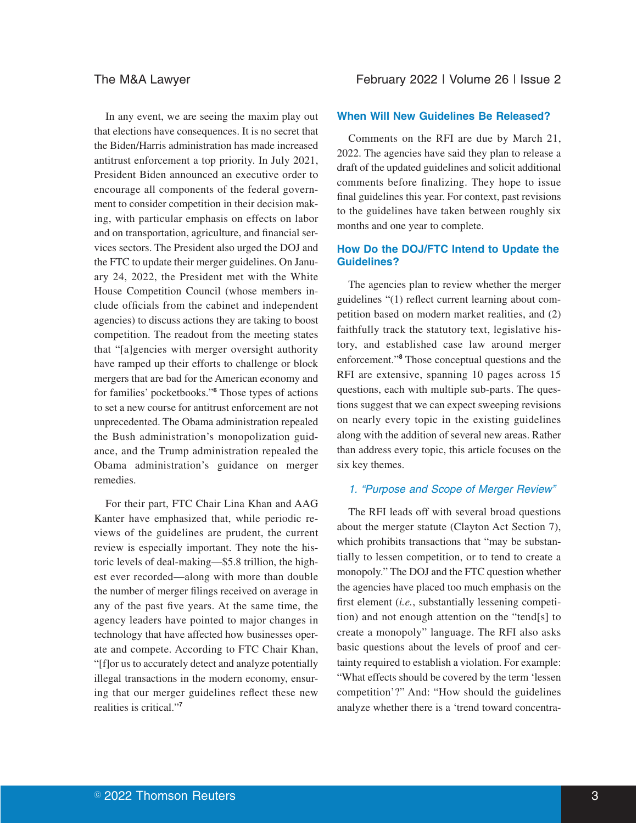In any event, we are seeing the maxim play out that elections have consequences. It is no secret that the Biden/Harris administration has made increased antitrust enforcement a top priority. In July 2021, President Biden announced an executive order to encourage all components of the federal government to consider competition in their decision making, with particular emphasis on effects on labor and on transportation, agriculture, and financial services sectors. The President also urged the DOJ and the FTC to update their merger guidelines. On January 24, 2022, the President met with the White House Competition Council (whose members include officials from the cabinet and independent agencies) to discuss actions they are taking to boost competition. The readout from the meeting states that "[a]gencies with merger oversight authority have ramped up their efforts to challenge or block mergers that are bad for the American economy and for families' pocketbooks."**<sup>6</sup>** Those types of actions to set a new course for antitrust enforcement are not unprecedented. The Obama administration repealed the Bush administration's monopolization guidance, and the Trump administration repealed the Obama administration's guidance on merger remedies.

For their part, FTC Chair Lina Khan and AAG Kanter have emphasized that, while periodic reviews of the guidelines are prudent, the current review is especially important. They note the historic levels of deal-making—\$5.8 trillion, the highest ever recorded—along with more than double the number of merger filings received on average in any of the past five years. At the same time, the agency leaders have pointed to major changes in technology that have affected how businesses operate and compete. According to FTC Chair Khan, "[f]or us to accurately detect and analyze potentially illegal transactions in the modern economy, ensuring that our merger guidelines reflect these new realities is critical."**<sup>7</sup>**

#### **When Will New Guidelines Be Released?**

Comments on the RFI are due by March 21, 2022. The agencies have said they plan to release a draft of the updated guidelines and solicit additional comments before finalizing. They hope to issue final guidelines this year. For context, past revisions to the guidelines have taken between roughly six months and one year to complete.

#### **How Do the DOJ/FTC Intend to Update the Guidelines?**

The agencies plan to review whether the merger guidelines "(1) reflect current learning about competition based on modern market realities, and (2) faithfully track the statutory text, legislative history, and established case law around merger enforcement."**<sup>8</sup>** Those conceptual questions and the RFI are extensive, spanning 10 pages across 15 questions, each with multiple sub-parts. The questions suggest that we can expect sweeping revisions on nearly every topic in the existing guidelines along with the addition of several new areas. Rather than address every topic, this article focuses on the six key themes.

#### 1. "Purpose and Scope of Merger Review"

The RFI leads off with several broad questions about the merger statute (Clayton Act Section 7), which prohibits transactions that "may be substantially to lessen competition, or to tend to create a monopoly." The DOJ and the FTC question whether the agencies have placed too much emphasis on the first element (*i.e.*, substantially lessening competition) and not enough attention on the "tend[s] to create a monopoly" language. The RFI also asks basic questions about the levels of proof and certainty required to establish a violation. For example: "What effects should be covered by the term 'lessen competition'?" And: "How should the guidelines analyze whether there is a 'trend toward concentra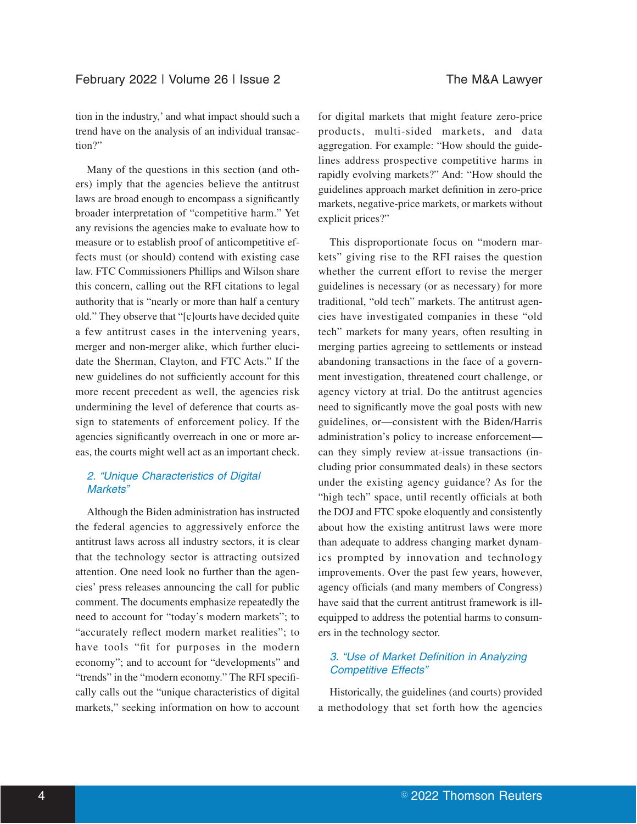tion in the industry,' and what impact should such a trend have on the analysis of an individual transaction?"

Many of the questions in this section (and others) imply that the agencies believe the antitrust laws are broad enough to encompass a significantly broader interpretation of "competitive harm." Yet any revisions the agencies make to evaluate how to measure or to establish proof of anticompetitive effects must (or should) contend with existing case law. FTC Commissioners Phillips and Wilson share this concern, calling out the RFI citations to legal authority that is "nearly or more than half a century old." They observe that "[c]ourts have decided quite a few antitrust cases in the intervening years, merger and non-merger alike, which further elucidate the Sherman, Clayton, and FTC Acts." If the new guidelines do not sufficiently account for this more recent precedent as well, the agencies risk undermining the level of deference that courts assign to statements of enforcement policy. If the agencies significantly overreach in one or more areas, the courts might well act as an important check.

# 2. "Unique Characteristics of Digital Markets"

Although the Biden administration has instructed the federal agencies to aggressively enforce the antitrust laws across all industry sectors, it is clear that the technology sector is attracting outsized attention. One need look no further than the agencies' press releases announcing the call for public comment. The documents emphasize repeatedly the need to account for "today's modern markets"; to "accurately reflect modern market realities"; to have tools "fit for purposes in the modern economy"; and to account for "developments" and "trends" in the "modern economy." The RFI specifically calls out the "unique characteristics of digital markets," seeking information on how to account

for digital markets that might feature zero-price products, multi-sided markets, and data aggregation. For example: "How should the guidelines address prospective competitive harms in rapidly evolving markets?" And: "How should the guidelines approach market definition in zero-price markets, negative-price markets, or markets without explicit prices?"

This disproportionate focus on "modern markets" giving rise to the RFI raises the question whether the current effort to revise the merger guidelines is necessary (or as necessary) for more traditional, "old tech" markets. The antitrust agencies have investigated companies in these "old tech" markets for many years, often resulting in merging parties agreeing to settlements or instead abandoning transactions in the face of a government investigation, threatened court challenge, or agency victory at trial. Do the antitrust agencies need to significantly move the goal posts with new guidelines, or—consistent with the Biden/Harris administration's policy to increase enforcement can they simply review at-issue transactions (including prior consummated deals) in these sectors under the existing agency guidance? As for the "high tech" space, until recently officials at both the DOJ and FTC spoke eloquently and consistently about how the existing antitrust laws were more than adequate to address changing market dynamics prompted by innovation and technology improvements. Over the past few years, however, agency officials (and many members of Congress) have said that the current antitrust framework is illequipped to address the potential harms to consumers in the technology sector.

# 3. "Use of Market Definition in Analyzing Competitive Effects"

Historically, the guidelines (and courts) provided a methodology that set forth how the agencies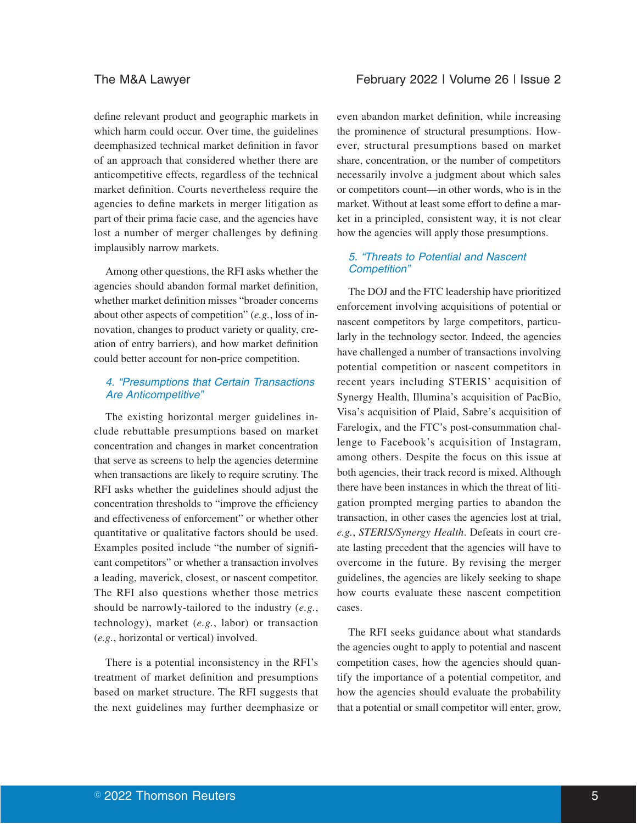define relevant product and geographic markets in which harm could occur. Over time, the guidelines deemphasized technical market definition in favor of an approach that considered whether there are anticompetitive effects, regardless of the technical market definition. Courts nevertheless require the agencies to define markets in merger litigation as part of their prima facie case, and the agencies have lost a number of merger challenges by defining implausibly narrow markets.

Among other questions, the RFI asks whether the agencies should abandon formal market definition, whether market definition misses "broader concerns about other aspects of competition" (*e.g.*, loss of innovation, changes to product variety or quality, creation of entry barriers), and how market definition could better account for non-price competition.

#### 4. "Presumptions that Certain Transactions Are Anticompetitive"

The existing horizontal merger guidelines include rebuttable presumptions based on market concentration and changes in market concentration that serve as screens to help the agencies determine when transactions are likely to require scrutiny. The RFI asks whether the guidelines should adjust the concentration thresholds to "improve the efficiency and effectiveness of enforcement" or whether other quantitative or qualitative factors should be used. Examples posited include "the number of significant competitors" or whether a transaction involves a leading, maverick, closest, or nascent competitor. The RFI also questions whether those metrics should be narrowly-tailored to the industry (*e.g.*, technology), market (*e.g.*, labor) or transaction (*e.g.*, horizontal or vertical) involved.

There is a potential inconsistency in the RFI's treatment of market definition and presumptions based on market structure. The RFI suggests that the next guidelines may further deemphasize or

even abandon market definition, while increasing the prominence of structural presumptions. However, structural presumptions based on market share, concentration, or the number of competitors necessarily involve a judgment about which sales or competitors count—in other words, who is in the market. Without at least some effort to define a market in a principled, consistent way, it is not clear how the agencies will apply those presumptions.

# 5. "Threats to Potential and Nascent Competition"

The DOJ and the FTC leadership have prioritized enforcement involving acquisitions of potential or nascent competitors by large competitors, particularly in the technology sector. Indeed, the agencies have challenged a number of transactions involving potential competition or nascent competitors in recent years including STERIS' acquisition of Synergy Health, Illumina's acquisition of PacBio, Visa's acquisition of Plaid, Sabre's acquisition of Farelogix, and the FTC's post-consummation challenge to Facebook's acquisition of Instagram, among others. Despite the focus on this issue at both agencies, their track record is mixed. Although there have been instances in which the threat of litigation prompted merging parties to abandon the transaction, in other cases the agencies lost at trial, *e.g.*, *STERIS/Synergy Health*. Defeats in court create lasting precedent that the agencies will have to overcome in the future. By revising the merger guidelines, the agencies are likely seeking to shape how courts evaluate these nascent competition cases.

The RFI seeks guidance about what standards the agencies ought to apply to potential and nascent competition cases, how the agencies should quantify the importance of a potential competitor, and how the agencies should evaluate the probability that a potential or small competitor will enter, grow,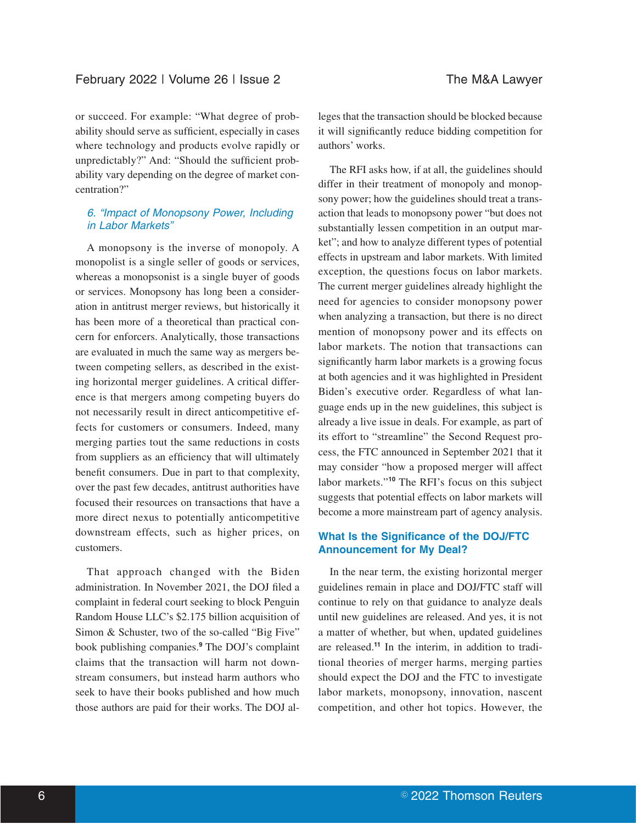or succeed. For example: "What degree of probability should serve as sufficient, especially in cases where technology and products evolve rapidly or unpredictably?" And: "Should the sufficient probability vary depending on the degree of market concentration?"

# 6. "Impact of Monopsony Power, Including in Labor Markets"

A monopsony is the inverse of monopoly. A monopolist is a single seller of goods or services, whereas a monopsonist is a single buyer of goods or services. Monopsony has long been a consideration in antitrust merger reviews, but historically it has been more of a theoretical than practical concern for enforcers. Analytically, those transactions are evaluated in much the same way as mergers between competing sellers, as described in the existing horizontal merger guidelines. A critical difference is that mergers among competing buyers do not necessarily result in direct anticompetitive effects for customers or consumers. Indeed, many merging parties tout the same reductions in costs from suppliers as an efficiency that will ultimately benefit consumers. Due in part to that complexity, over the past few decades, antitrust authorities have focused their resources on transactions that have a more direct nexus to potentially anticompetitive downstream effects, such as higher prices, on customers.

That approach changed with the Biden administration. In November 2021, the DOJ filed a complaint in federal court seeking to block Penguin Random House LLC's \$2.175 billion acquisition of Simon & Schuster, two of the so-called "Big Five" book publishing companies.**<sup>9</sup>** The DOJ's complaint claims that the transaction will harm not downstream consumers, but instead harm authors who seek to have their books published and how much those authors are paid for their works. The DOJ alleges that the transaction should be blocked because it will significantly reduce bidding competition for authors' works.

The RFI asks how, if at all, the guidelines should differ in their treatment of monopoly and monopsony power; how the guidelines should treat a transaction that leads to monopsony power "but does not substantially lessen competition in an output market"; and how to analyze different types of potential effects in upstream and labor markets. With limited exception, the questions focus on labor markets. The current merger guidelines already highlight the need for agencies to consider monopsony power when analyzing a transaction, but there is no direct mention of monopsony power and its effects on labor markets. The notion that transactions can significantly harm labor markets is a growing focus at both agencies and it was highlighted in President Biden's executive order. Regardless of what language ends up in the new guidelines, this subject is already a live issue in deals. For example, as part of its effort to "streamline" the Second Request process, the FTC announced in September 2021 that it may consider "how a proposed merger will affect labor markets."**<sup>10</sup>** The RFI's focus on this subject suggests that potential effects on labor markets will become a more mainstream part of agency analysis.

# **What Is the Significance of the DOJ/FTC Announcement for My Deal?**

In the near term, the existing horizontal merger guidelines remain in place and DOJ/FTC staff will continue to rely on that guidance to analyze deals until new guidelines are released. And yes, it is not a matter of whether, but when, updated guidelines are released.**<sup>11</sup>** In the interim, in addition to traditional theories of merger harms, merging parties should expect the DOJ and the FTC to investigate labor markets, monopsony, innovation, nascent competition, and other hot topics. However, the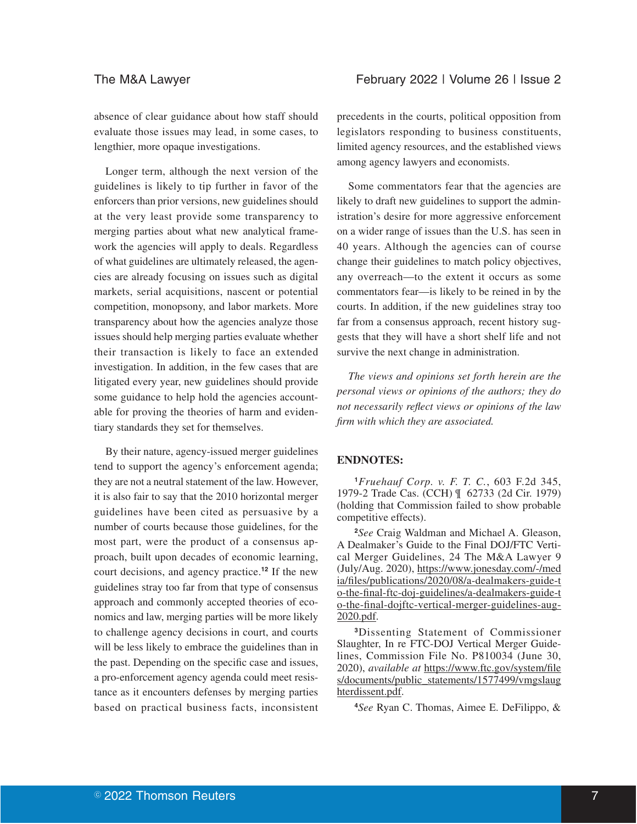absence of clear guidance about how staff should evaluate those issues may lead, in some cases, to lengthier, more opaque investigations.

Longer term, although the next version of the guidelines is likely to tip further in favor of the enforcers than prior versions, new guidelines should at the very least provide some transparency to merging parties about what new analytical framework the agencies will apply to deals. Regardless of what guidelines are ultimately released, the agencies are already focusing on issues such as digital markets, serial acquisitions, nascent or potential competition, monopsony, and labor markets. More transparency about how the agencies analyze those issues should help merging parties evaluate whether their transaction is likely to face an extended investigation. In addition, in the few cases that are litigated every year, new guidelines should provide some guidance to help hold the agencies accountable for proving the theories of harm and evidentiary standards they set for themselves.

By their nature, agency-issued merger guidelines tend to support the agency's enforcement agenda; they are not a neutral statement of the law. However, it is also fair to say that the 2010 horizontal merger guidelines have been cited as persuasive by a number of courts because those guidelines, for the most part, were the product of a consensus approach, built upon decades of economic learning, court decisions, and agency practice.**<sup>12</sup>** If the new guidelines stray too far from that type of consensus approach and commonly accepted theories of economics and law, merging parties will be more likely to challenge agency decisions in court, and courts will be less likely to embrace the guidelines than in the past. Depending on the specific case and issues, a pro-enforcement agency agenda could meet resistance as it encounters defenses by merging parties based on practical business facts, inconsistent precedents in the courts, political opposition from legislators responding to business constituents, limited agency resources, and the established views among agency lawyers and economists.

Some commentators fear that the agencies are likely to draft new guidelines to support the administration's desire for more aggressive enforcement on a wider range of issues than the U.S. has seen in 40 years. Although the agencies can of course change their guidelines to match policy objectives, any overreach—to the extent it occurs as some commentators fear—is likely to be reined in by the courts. In addition, if the new guidelines stray too far from a consensus approach, recent history suggests that they will have a short shelf life and not survive the next change in administration.

*The views and opinions set forth herein are the personal views or opinions of the authors; they do not necessarily reflect views or opinions of the law firm with which they are associated.*

# **ENDNOTES:**

**<sup>1</sup>***Fruehauf Corp. v. F. T. C.*, 603 F.2d 345, 1979-2 Trade Cas. (CCH) ¶ 62733 (2d Cir. 1979) (holding that Commission failed to show probable competitive effects).

**<sup>2</sup>***See* Craig Waldman and Michael A. Gleason, A Dealmaker's Guide to the Final DOJ/FTC Vertical Merger Guidelines, 24 The M&A Lawyer 9 (July/Aug. 2020), https://www.jonesday.com/-/med ia/files/publications/2020/08/a-dealmakers-guide-t o-the-final-ftc-doj-guidelines/a-dealmakers-guide-t o-the-final-dojftc-vertical-merger-guidelines-aug-2020.pdf.

**<sup>3</sup>**Dissenting Statement of Commissioner Slaughter, In re FTC-DOJ Vertical Merger Guidelines, Commission File No. P810034 (June 30, 2020), *available at* https://www.ftc.gov/system/file s/documents/public\_statements/1577499/vmgslaug hterdissent.pdf.

**<sup>4</sup>***See* Ryan C. Thomas, Aimee E. DeFilippo, &